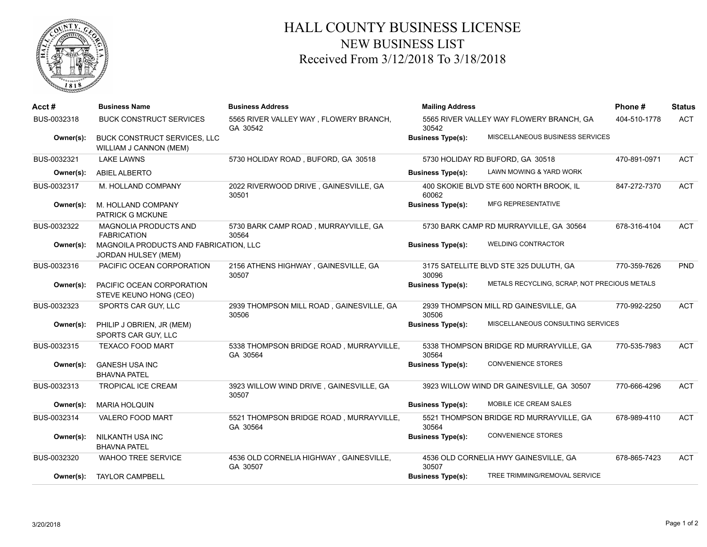

## HALL COUNTY BUSINESS LICENSE NEW BUSINESS LIST Received From 3/12/2018 To 3/18/2018

| Acct#       | <b>Business Name</b>                                                 | <b>Business Address</b>                             | <b>Mailing Address</b>   |                                              | Phone#       | <b>Status</b> |
|-------------|----------------------------------------------------------------------|-----------------------------------------------------|--------------------------|----------------------------------------------|--------------|---------------|
| BUS-0032318 | <b>BUCK CONSTRUCT SERVICES</b>                                       | 5565 RIVER VALLEY WAY, FLOWERY BRANCH,<br>GA 30542  | 30542                    | 5565 RIVER VALLEY WAY FLOWERY BRANCH, GA     | 404-510-1778 | <b>ACT</b>    |
| Owner(s):   | BUCK CONSTRUCT SERVICES, LLC<br>WILLIAM J CANNON (MEM)               |                                                     | <b>Business Type(s):</b> | MISCELLANEOUS BUSINESS SERVICES              |              |               |
| BUS-0032321 | <b>LAKE LAWNS</b>                                                    | 5730 HOLIDAY ROAD, BUFORD, GA 30518                 |                          | 5730 HOLIDAY RD BUFORD, GA 30518             | 470-891-0971 | <b>ACT</b>    |
| Owner(s):   | <b>ABIEL ALBERTO</b>                                                 |                                                     | <b>Business Type(s):</b> | LAWN MOWING & YARD WORK                      |              |               |
| BUS-0032317 | M. HOLLAND COMPANY                                                   | 2022 RIVERWOOD DRIVE, GAINESVILLE, GA<br>30501      | 60062                    | 400 SKOKIE BLVD STE 600 NORTH BROOK, IL      | 847-272-7370 | <b>ACT</b>    |
| Owner(s):   | M. HOLLAND COMPANY<br>PATRICK G MCKUNE                               |                                                     | <b>Business Type(s):</b> | <b>MFG REPRESENTATIVE</b>                    |              |               |
| BUS-0032322 | <b>MAGNOLIA PRODUCTS AND</b><br><b>FABRICATION</b>                   | 5730 BARK CAMP ROAD, MURRAYVILLE, GA<br>30564       |                          | 5730 BARK CAMP RD MURRAYVILLE, GA 30564      | 678-316-4104 | <b>ACT</b>    |
| Owner(s):   | MAGNOILA PRODUCTS AND FABRICATION, LLC<br><b>JORDAN HULSEY (MEM)</b> |                                                     | <b>Business Type(s):</b> | <b>WELDING CONTRACTOR</b>                    |              |               |
| BUS-0032316 | PACIFIC OCEAN CORPORATION                                            | 2156 ATHENS HIGHWAY, GAINESVILLE, GA<br>30507       | 30096                    | 3175 SATELLITE BLVD STE 325 DULUTH, GA       | 770-359-7626 | <b>PND</b>    |
| Owner(s):   | PACIFIC OCEAN CORPORATION<br>STEVE KEUNO HONG (CEO)                  |                                                     | <b>Business Type(s):</b> | METALS RECYCLING, SCRAP, NOT PRECIOUS METALS |              |               |
| BUS-0032323 | SPORTS CAR GUY, LLC                                                  | 2939 THOMPSON MILL ROAD, GAINESVILLE, GA<br>30506   | 30506                    | 2939 THOMPSON MILL RD GAINESVILLE, GA        | 770-992-2250 | <b>ACT</b>    |
| Owner(s):   | PHILIP J OBRIEN, JR (MEM)<br>SPORTS CAR GUY, LLC                     |                                                     | <b>Business Type(s):</b> | MISCELLANEOUS CONSULTING SERVICES            |              |               |
| BUS-0032315 | <b>TEXACO FOOD MART</b>                                              | 5338 THOMPSON BRIDGE ROAD, MURRAYVILLE,<br>GA 30564 | 30564                    | 5338 THOMPSON BRIDGE RD MURRAYVILLE, GA      | 770-535-7983 | <b>ACT</b>    |
| Owner(s):   | <b>GANESH USA INC</b><br><b>BHAVNA PATEL</b>                         |                                                     | <b>Business Type(s):</b> | <b>CONVENIENCE STORES</b>                    |              |               |
| BUS-0032313 | <b>TROPICAL ICE CREAM</b>                                            | 3923 WILLOW WIND DRIVE, GAINESVILLE, GA<br>30507    |                          | 3923 WILLOW WIND DR GAINESVILLE, GA 30507    | 770-666-4296 | <b>ACT</b>    |
| Owner(s):   | <b>MARIA HOLQUIN</b>                                                 |                                                     | <b>Business Type(s):</b> | MOBILE ICE CREAM SALES                       |              |               |
| BUS-0032314 | <b>VALERO FOOD MART</b>                                              | 5521 THOMPSON BRIDGE ROAD, MURRAYVILLE,<br>GA 30564 | 30564                    | 5521 THOMPSON BRIDGE RD MURRAYVILLE, GA      | 678-989-4110 | <b>ACT</b>    |
| Owner(s):   | <b>NILKANTH USA INC</b><br><b>BHAVNA PATEL</b>                       |                                                     | <b>Business Type(s):</b> | <b>CONVENIENCE STORES</b>                    |              |               |
| BUS-0032320 | <b>WAHOO TREE SERVICE</b>                                            | 4536 OLD CORNELIA HIGHWAY, GAINESVILLE,<br>GA 30507 | 30507                    | 4536 OLD CORNELIA HWY GAINESVILLE, GA        | 678-865-7423 | <b>ACT</b>    |
| Owner(s):   | <b>TAYLOR CAMPBELL</b>                                               |                                                     | <b>Business Type(s):</b> | TREE TRIMMING/REMOVAL SERVICE                |              |               |